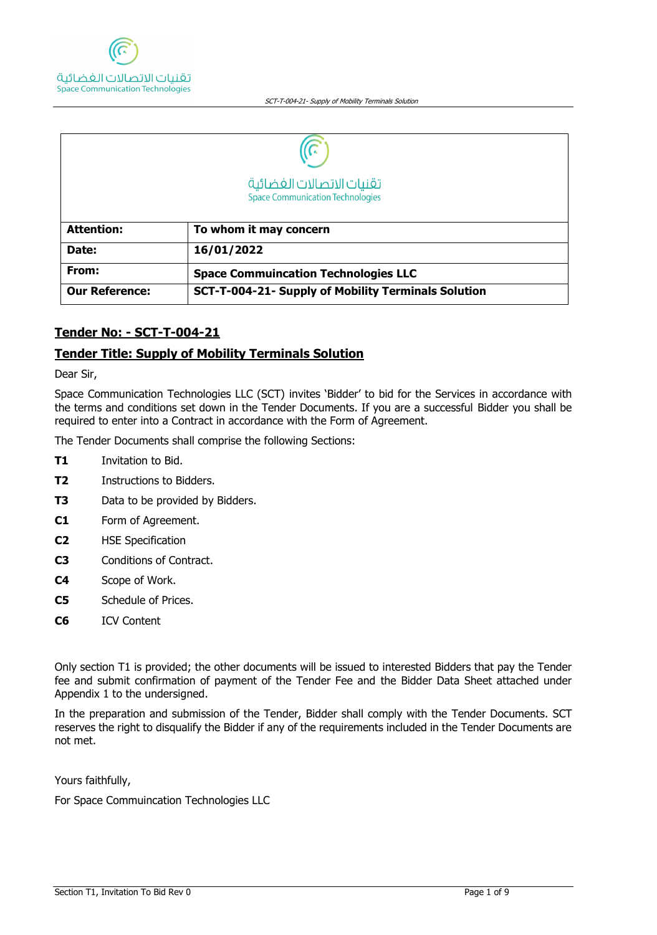

|                       | تقنيات الاتصالات الغضائية<br><b>Space Communication Technologies</b> |  |  |  |
|-----------------------|----------------------------------------------------------------------|--|--|--|
| <b>Attention:</b>     | To whom it may concern                                               |  |  |  |
| Date:                 | 16/01/2022                                                           |  |  |  |
| From:                 | <b>Space Commuincation Technologies LLC</b>                          |  |  |  |
| <b>Our Reference:</b> | SCT-T-004-21- Supply of Mobility Terminals Solution                  |  |  |  |

## **Tender No: - SCT-T-004-21**

## **Tender Title: Supply of Mobility Terminals Solution**

Dear Sir,

Space Communication Technologies LLC (SCT) invites 'Bidder' to bid for the Services in accordance with the terms and conditions set down in the Tender Documents. If you are a successful Bidder you shall be required to enter into a Contract in accordance with the Form of Agreement.

The Tender Documents shall comprise the following Sections:

- **T1** Invitation to Bid.
- **T2** Instructions to Bidders.
- **T3** Data to be provided by Bidders.
- **C1** Form of Agreement.
- **C2** HSE Specification
- **C3** Conditions of Contract.
- **C4** Scope of Work.
- **C5** Schedule of Prices.
- **C6** ICV Content

Only section T1 is provided; the other documents will be issued to interested Bidders that pay the Tender fee and submit confirmation of payment of the Tender Fee and the Bidder Data Sheet attached under Appendix 1 to the undersigned.

In the preparation and submission of the Tender, Bidder shall comply with the Tender Documents. SCT reserves the right to disqualify the Bidder if any of the requirements included in the Tender Documents are not met.

Yours faithfully,

For Space Commuincation Technologies LLC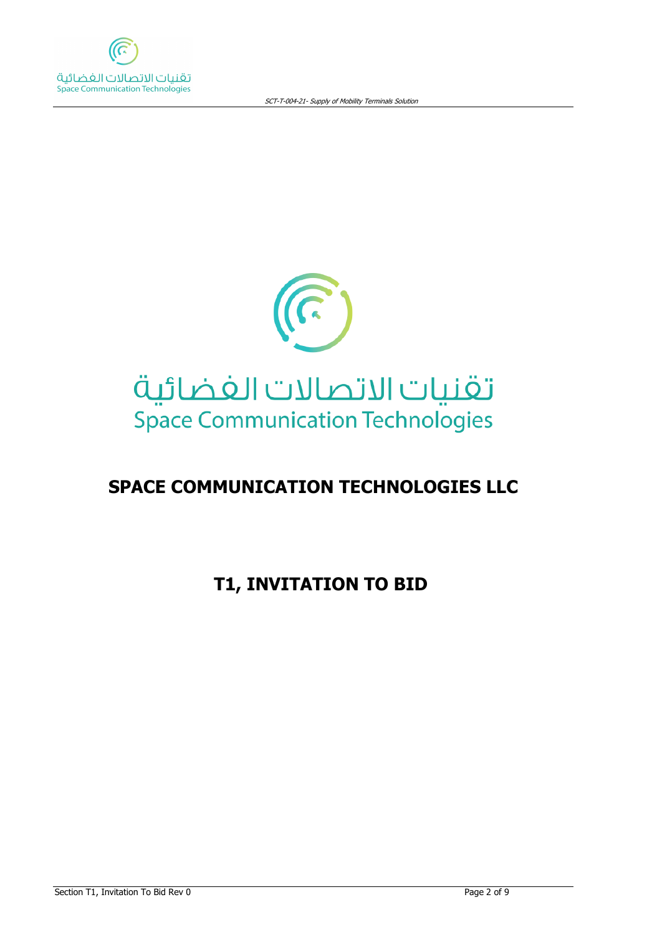



# **SPACE COMMUNICATION TECHNOLOGIES LLC**

# **T1, INVITATION TO BID**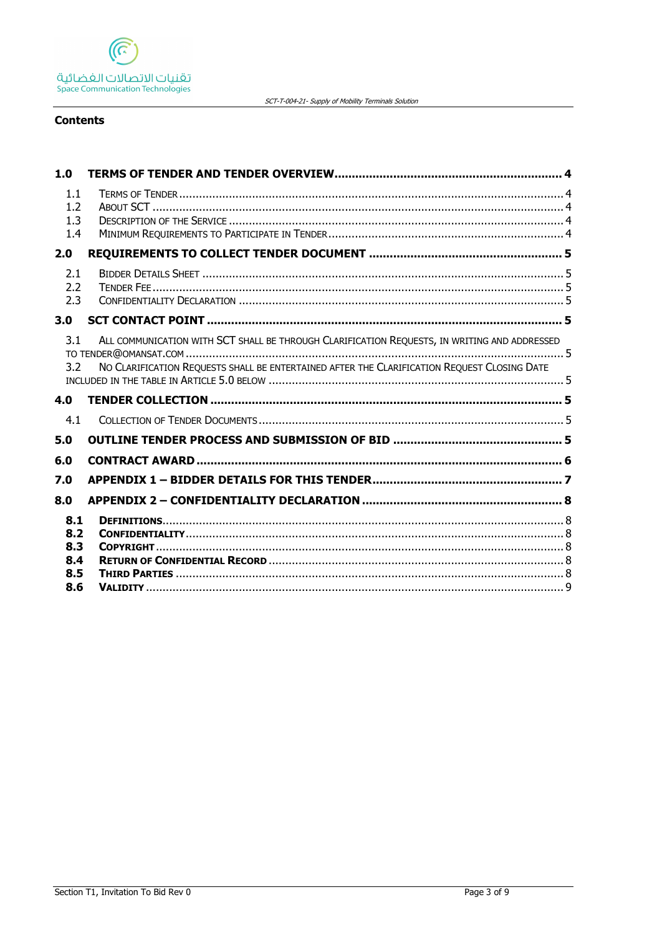

SCT-T-004-21- Supply of Mobility Terminals Solution

## **Contents**

| 1.0                                    |                                                                                                                                                                                             |  |
|----------------------------------------|---------------------------------------------------------------------------------------------------------------------------------------------------------------------------------------------|--|
| 1.1<br>1.2<br>1.3<br>1.4               |                                                                                                                                                                                             |  |
| 2.0                                    |                                                                                                                                                                                             |  |
| 2.1<br>2.2<br>2.3                      |                                                                                                                                                                                             |  |
| 3.0                                    |                                                                                                                                                                                             |  |
| 3.1<br>3.2                             | ALL COMMUNICATION WITH SCT SHALL BE THROUGH CLARIFICATION REQUESTS, IN WRITING AND ADDRESSED<br>NO CLARIFICATION REQUESTS SHALL BE ENTERTAINED AFTER THE CLARIFICATION REQUEST CLOSING DATE |  |
| 4.0                                    |                                                                                                                                                                                             |  |
| 4.1                                    |                                                                                                                                                                                             |  |
| 5.0                                    |                                                                                                                                                                                             |  |
| 6.0                                    |                                                                                                                                                                                             |  |
| 7.0                                    |                                                                                                                                                                                             |  |
| 8.0                                    |                                                                                                                                                                                             |  |
| 8.1<br>8.2<br>8.3<br>8.4<br>8.5<br>8.6 |                                                                                                                                                                                             |  |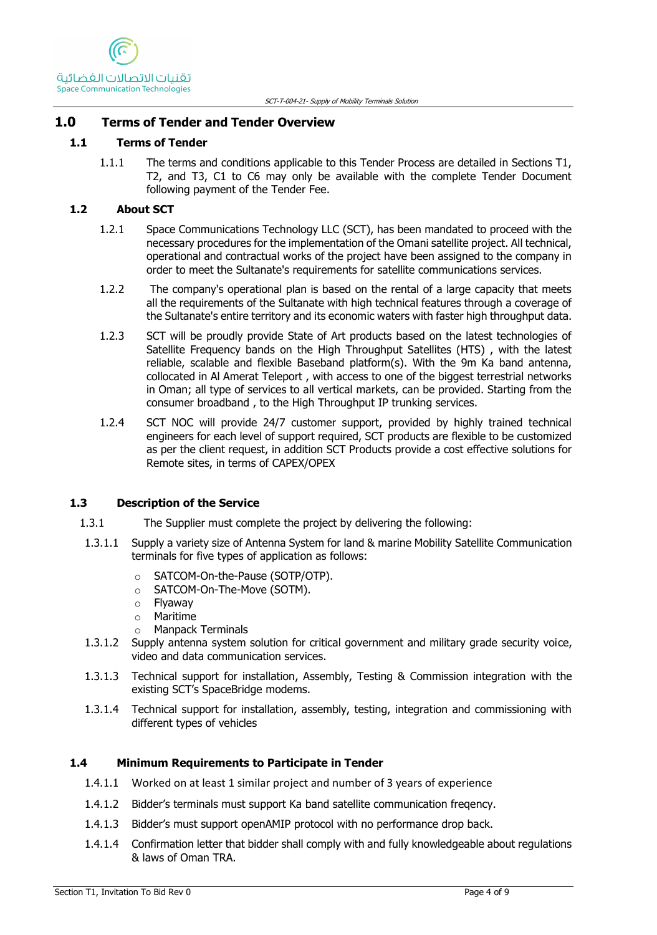# <span id="page-3-0"></span>**1.0 Terms of Tender and Tender Overview**

## <span id="page-3-1"></span>**1.1 Terms of Tender**

1.1.1 The terms and conditions applicable to this Tender Process are detailed in Sections T1, T2, and T3, C1 to C6 may only be available with the complete Tender Document following payment of the Tender Fee.

# <span id="page-3-2"></span>**1.2 About SCT**

- 1.2.1 Space Communications Technology LLC (SCT), has been mandated to proceed with the necessary procedures for the implementation of the Omani satellite project. All technical, operational and contractual works of the project have been assigned to the company in order to meet the Sultanate's requirements for satellite communications services.
- 1.2.2 The company's operational plan is based on the rental of a large capacity that meets all the requirements of the Sultanate with high technical features through a coverage of the Sultanate's entire territory and its economic waters with faster high throughput data.
- 1.2.3 SCT will be proudly provide State of Art products based on the latest technologies of Satellite Frequency bands on the High Throughput Satellites (HTS) , with the latest reliable, scalable and flexible Baseband platform(s). With the 9m Ka band antenna, collocated in Al Amerat Teleport , with access to one of the biggest terrestrial networks in Oman; all type of services to all vertical markets, can be provided. Starting from the consumer broadband , to the High Throughput IP trunking services.
- 1.2.4 SCT NOC will provide 24/7 customer support, provided by highly trained technical engineers for each level of support required, SCT products are flexible to be customized as per the client request, in addition SCT Products provide a cost effective solutions for Remote sites, in terms of CAPEX/OPEX

# <span id="page-3-3"></span>**1.3 Description of the Service**

- 1.3.1 The Supplier must complete the project by delivering the following:
- 1.3.1.1 Supply a variety size of Antenna System for land & marine Mobility Satellite Communication terminals for five types of application as follows:
	- o SATCOM-On-the-Pause (SOTP/OTP).
	- o SATCOM-On-The-Move (SOTM).
	- o Flyaway
	- o Maritime
	- o Manpack Terminals
- 1.3.1.2 Supply antenna system solution for critical government and military grade security voice, video and data communication services.
- 1.3.1.3 Technical support for installation, Assembly, Testing & Commission integration with the existing SCT's SpaceBridge modems.
- 1.3.1.4 Technical support for installation, assembly, testing, integration and commissioning with different types of vehicles

# <span id="page-3-4"></span>**1.4 Minimum Requirements to Participate in Tender**

- 1.4.1.1 Worked on at least 1 similar project and number of 3 years of experience
- 1.4.1.2 Bidder's terminals must support Ka band satellite communication freqency.
- 1.4.1.3 Bidder's must support openAMIP protocol with no performance drop back.
- 1.4.1.4 Confirmation letter that bidder shall comply with and fully knowledgeable about regulations & laws of Oman TRA.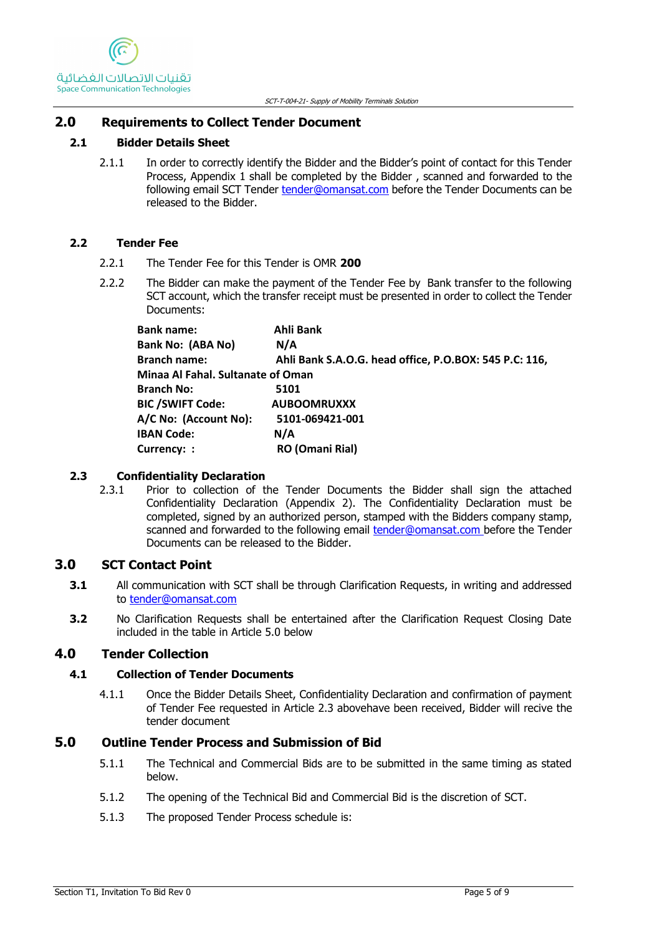## <span id="page-4-0"></span>**2.0 Requirements to Collect Tender Document**

## <span id="page-4-1"></span>**2.1 Bidder Details Sheet**

2.1.1 In order to correctly identify the Bidder and the Bidder's point of contact for this Tender Process, Appendix 1 shall be completed by the Bidder , scanned and forwarded to the following email SCT Tender [tender@omansat.com](mailto:tender@omansat.com) before the Tender Documents can be released to the Bidder.

### <span id="page-4-2"></span>**2.2 Tender Fee**

- 2.2.1 The Tender Fee for this Tender is OMR **200**
- 2.2.2 The Bidder can make the payment of the Tender Fee by Bank transfer to the following SCT account, which the transfer receipt must be presented in order to collect the Tender Documents:

| <b>Bank name:</b>                 | Ahli Bank                                              |  |  |  |
|-----------------------------------|--------------------------------------------------------|--|--|--|
| Bank No: (ABA No)                 | N/A                                                    |  |  |  |
| <b>Branch name:</b>               | Ahli Bank S.A.O.G. head office, P.O.BOX: 545 P.C: 116, |  |  |  |
| Minaa Al Fahal. Sultanate of Oman |                                                        |  |  |  |
| <b>Branch No:</b>                 | 5101                                                   |  |  |  |
| <b>BIC /SWIFT Code:</b>           | <b>AUBOOMRUXXX</b>                                     |  |  |  |
| A/C No: (Account No):             | 5101-069421-001                                        |  |  |  |
| <b>IBAN Code:</b>                 | N/A                                                    |  |  |  |
| Currency: :                       | <b>RO (Omani Rial)</b>                                 |  |  |  |

#### <span id="page-4-3"></span>**2.3 Confidentiality Declaration**

2.3.1 Prior to collection of the Tender Documents the Bidder shall sign the attached Confidentiality Declaration (Appendix 2). The Confidentiality Declaration must be completed, signed by an authorized person, stamped with the Bidders company stamp, scanned and forwarded to the following email [tender@omansat.com](mailto:tender@omansat.com) before the Tender Documents can be released to the Bidder.

## <span id="page-4-4"></span>**3.0 SCT Contact Point**

- <span id="page-4-5"></span>**3.1** All communication with SCT shall be through Clarification Requests, in writing and addressed to [tender@omansat.com](mailto:tender@omansat.com)
- <span id="page-4-6"></span>**3.2** No Clarification Requests shall be entertained after the Clarification Request Closing Date included in the table in Article 5.0 [below](#page-4-9)

## <span id="page-4-7"></span>**4.0 Tender Collection**

## <span id="page-4-8"></span>**4.1 Collection of Tender Documents**

4.1.1 Once the Bidder Details Sheet, Confidentiality Declaration and confirmation of payment of Tender Fee requested in Article [2.3 aboveh](#page-4-3)ave been received, Bidder will recive the tender document

## <span id="page-4-9"></span>**5.0 Outline Tender Process and Submission of Bid**

- 5.1.1 The Technical and Commercial Bids are to be submitted in the same timing as stated below.
- 5.1.2 The opening of the Technical Bid and Commercial Bid is the discretion of SCT.
- 5.1.3 The proposed Tender Process schedule is: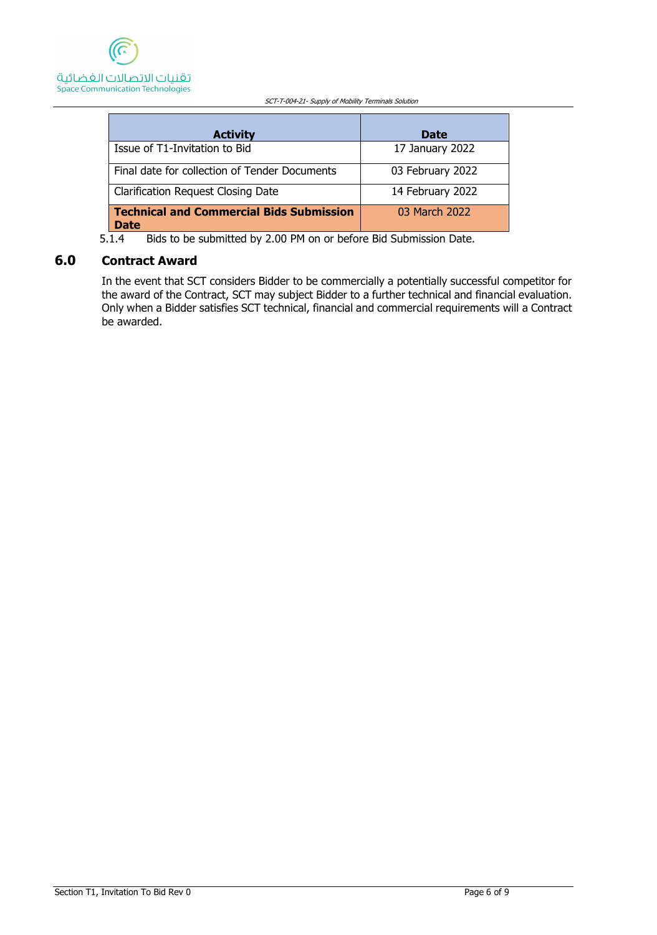

| <b>Activity</b>                                         | <b>Date</b>      |
|---------------------------------------------------------|------------------|
| Issue of T1-Invitation to Bid                           | 17 January 2022  |
| Final date for collection of Tender Documents           | 03 February 2022 |
| <b>Clarification Request Closing Date</b>               | 14 February 2022 |
| Technical and Commercial Bids Submission<br><b>Date</b> | 03 March 2022    |

5.1.4 Bids to be submitted by 2.00 PM on or before Bid Submission Date.

## <span id="page-5-0"></span>**6.0 Contract Award**

In the event that SCT considers Bidder to be commercially a potentially successful competitor for the award of the Contract, SCT may subject Bidder to a further technical and financial evaluation. Only when a Bidder satisfies SCT technical, financial and commercial requirements will a Contract be awarded.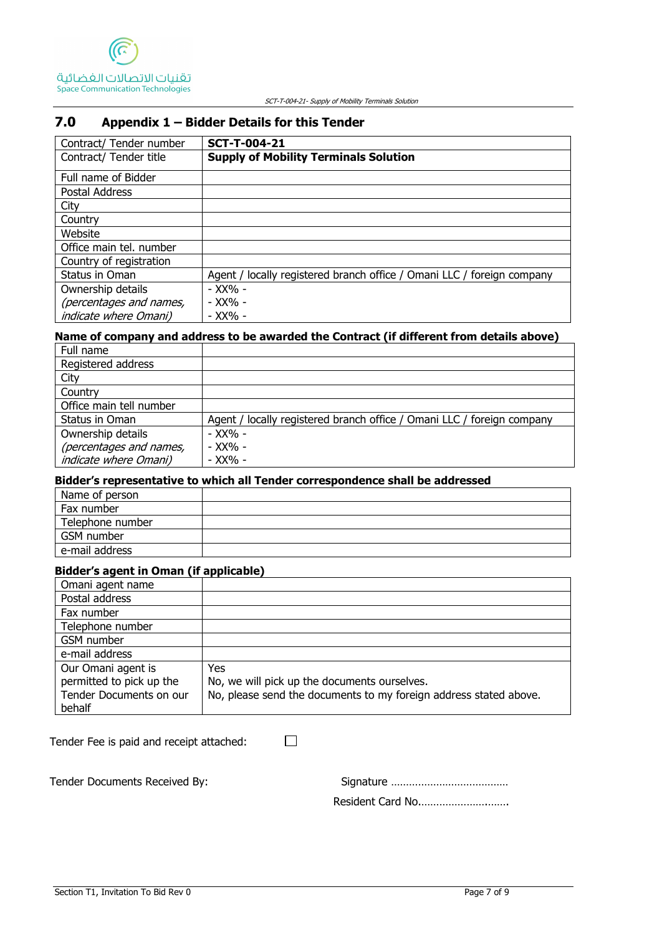

# <span id="page-6-0"></span>**7.0 Appendix 1 – Bidder Details for this Tender**

| Contract/ Tender number      | <b>SCT-T-004-21</b>                                                    |
|------------------------------|------------------------------------------------------------------------|
| Contract/ Tender title       | <b>Supply of Mobility Terminals Solution</b>                           |
| Full name of Bidder          |                                                                        |
| Postal Address               |                                                                        |
| City                         |                                                                        |
| Country                      |                                                                        |
| Website                      |                                                                        |
| Office main tel. number      |                                                                        |
| Country of registration      |                                                                        |
| Status in Oman               | Agent / locally registered branch office / Omani LLC / foreign company |
| Ownership details            | - XX% -                                                                |
| (percentages and names,      | - XX% -                                                                |
| <i>indicate where Omani)</i> | - XX% -                                                                |

#### **Name of company and address to be awarded the Contract (if different from details above)**

| Full name                    |                                                                        |
|------------------------------|------------------------------------------------------------------------|
| Registered address           |                                                                        |
| City                         |                                                                        |
| Country                      |                                                                        |
| Office main tell number      |                                                                        |
| Status in Oman               | Agent / locally registered branch office / Omani LLC / foreign company |
| Ownership details            | - XX% -                                                                |
| (percentages and names,      | - XX% -                                                                |
| <i>indicate where Omani)</i> | - XX% -                                                                |

## **Bidder's representative to which all Tender correspondence shall be addressed**

| Name of person   |  |
|------------------|--|
| Fax number       |  |
| Telephone number |  |
| GSM number       |  |
| e-mail address   |  |

#### **Bidder's agent in Oman (if applicable)**

| Omani agent name         |                                                                   |
|--------------------------|-------------------------------------------------------------------|
| Postal address           |                                                                   |
| Fax number               |                                                                   |
| Telephone number         |                                                                   |
| GSM number               |                                                                   |
| e-mail address           |                                                                   |
| Our Omani agent is       | Yes.                                                              |
| permitted to pick up the | No, we will pick up the documents ourselves.                      |
| Tender Documents on our  | No, please send the documents to my foreign address stated above. |
| behalf                   |                                                                   |

 $\Box$ 

|  |  |  | Tender Fee is paid and receipt attached: |  |
|--|--|--|------------------------------------------|--|
|  |  |  |                                          |  |

Tender Documents Received By: Signature …………………………………

Resident Card No.………………….…….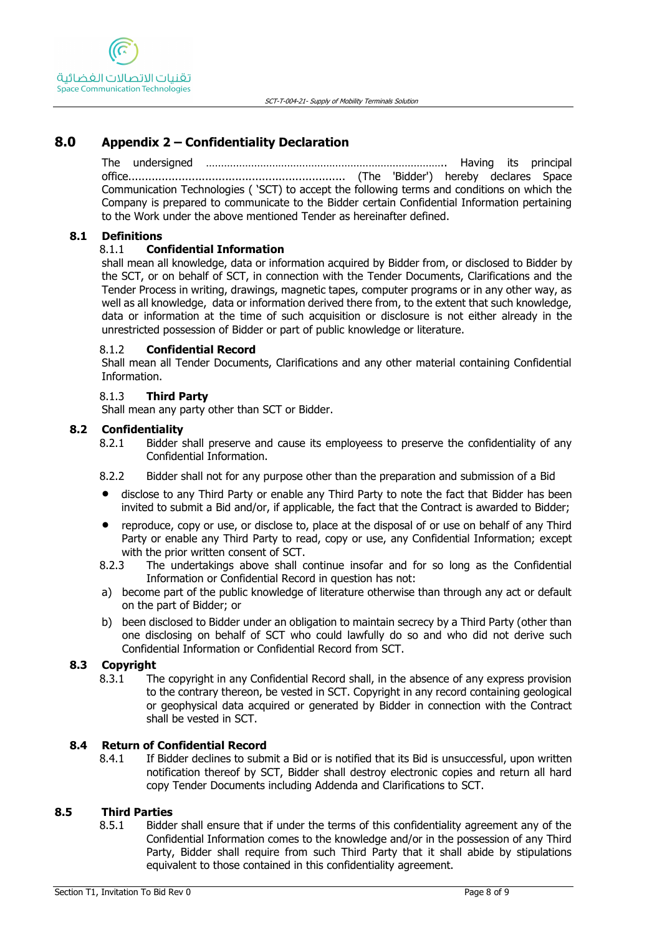# <span id="page-7-0"></span>**8.0 Appendix 2 – Confidentiality Declaration**

The undersigned …………………………………………………………………….. Having its principal office................................................................. (The 'Bidder') hereby declares Space Communication Technologies ( 'SCT) to accept the following terms and conditions on which the Company is prepared to communicate to the Bidder certain Confidential Information pertaining to the Work under the above mentioned Tender as hereinafter defined.

#### <span id="page-7-1"></span>**8.1 Definitions**

#### 8.1.1 **Confidential Information**

shall mean all knowledge, data or information acquired by Bidder from, or disclosed to Bidder by the SCT, or on behalf of SCT, in connection with the Tender Documents, Clarifications and the Tender Process in writing, drawings, magnetic tapes, computer programs or in any other way, as well as all knowledge, data or information derived there from, to the extent that such knowledge, data or information at the time of such acquisition or disclosure is not either already in the unrestricted possession of Bidder or part of public knowledge or literature.

#### 8.1.2 **Confidential Record**

Shall mean all Tender Documents, Clarifications and any other material containing Confidential Information.

#### 8.1.3 **Third Party**

Shall mean any party other than SCT or Bidder.

#### <span id="page-7-2"></span>**8.2 Confidentiality**

- 8.2.1 Bidder shall preserve and cause its employeess to preserve the confidentiality of any Confidential Information.
- 8.2.2 Bidder shall not for any purpose other than the preparation and submission of a Bid
- disclose to any Third Party or enable any Third Party to note the fact that Bidder has been invited to submit a Bid and/or, if applicable, the fact that the Contract is awarded to Bidder;
- reproduce, copy or use, or disclose to, place at the disposal of or use on behalf of any Third Party or enable any Third Party to read, copy or use, any Confidential Information; except with the prior written consent of SCT.
- 8.2.3 The undertakings above shall continue insofar and for so long as the Confidential Information or Confidential Record in question has not:
- a) become part of the public knowledge of literature otherwise than through any act or default on the part of Bidder; or
- b) been disclosed to Bidder under an obligation to maintain secrecy by a Third Party (other than one disclosing on behalf of SCT who could lawfully do so and who did not derive such Confidential Information or Confidential Record from SCT.

#### <span id="page-7-3"></span>**8.3 Copyright**

8.3.1 The copyright in any Confidential Record shall, in the absence of any express provision to the contrary thereon, be vested in SCT. Copyright in any record containing geological or geophysical data acquired or generated by Bidder in connection with the Contract shall be vested in SCT.

#### <span id="page-7-4"></span>**8.4 Return of Confidential Record**

8.4.1 If Bidder declines to submit a Bid or is notified that its Bid is unsuccessful, upon written notification thereof by SCT, Bidder shall destroy electronic copies and return all hard copy Tender Documents including Addenda and Clarifications to SCT.

#### <span id="page-7-5"></span>**8.5 Third Parties**

8.5.1 Bidder shall ensure that if under the terms of this confidentiality agreement any of the Confidential Information comes to the knowledge and/or in the possession of any Third Party, Bidder shall require from such Third Party that it shall abide by stipulations equivalent to those contained in this confidentiality agreement.